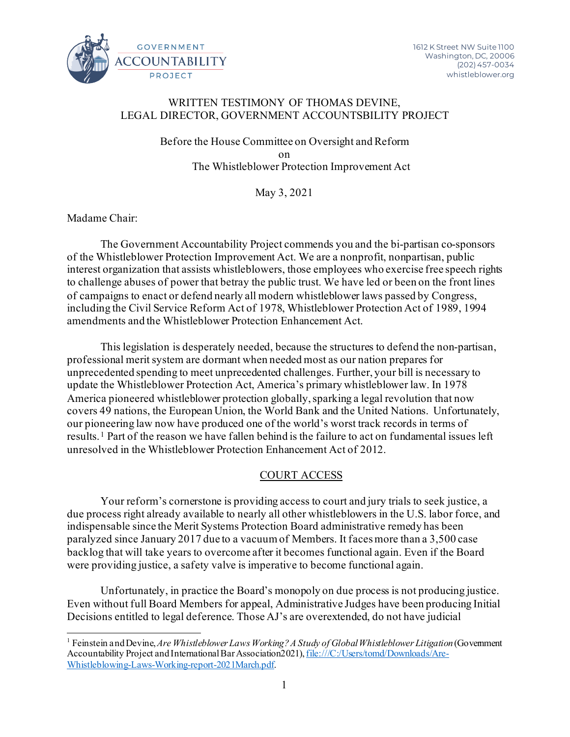

## WRITTEN TESTIMONY OF THOMAS DEVINE, LEGAL DIRECTOR, GOVERNMENT ACCOUNTSBILITY PROJECT

Before the House Committee on Oversight and Reform on The Whistleblower Protection Improvement Act

May 3, 2021

Madame Chair:

The Government Accountability Project commends you and the bi-partisan co-sponsors of the Whistleblower Protection Improvement Act. We are a nonprofit, nonpartisan, public interest organization that assists whistleblowers, those employees who exercise free speech rights to challenge abuses of power that betray the public trust. We have led or been on the front lines of campaigns to enact or defend nearly all modern whistleblower laws passed by Congress, including the Civil Service Reform Act of 1978, Whistleblower Protection Act of 1989, 1994 amendments and the Whistleblower Protection Enhancement Act.

This legislation is desperately needed, because the structures to defend the non-partisan, professional merit system are dormant when needed most as our nation prepares for unprecedented spending to meet unprecedented challenges. Further, your bill is necessary to update the Whistleblower Protection Act, America's primary whistleblower law. In 1978 America pioneered whistleblower protection globally, sparking a legal revolution that now covers 49 nations, the European Union, the World Bank and the United Nations. Unfortunately, our pioneering law now have produced one of the world's worst track records in terms of results. [1](#page-0-0) Part of the reason we have fallen behind is the failure to act on fundamental issues left unresolved in the Whistleblower Protection Enhancement Act of 2012.

# COURT ACCESS

Your reform's cornerstone is providing access to court and jury trials to seek justice, a due process right already available to nearly all other whistleblowers in the U.S. labor force, and indispensable since the Merit Systems Protection Board administrative remedy has been paralyzed since January 2017 due to a vacuum of Members. It faces more than a 3,500 case backlog that will take years to overcome after it becomes functional again. Even if the Board were providing justice, a safety valve is imperative to become functional again.

Unfortunately, in practice the Board's monopoly on due process is not producing justice. Even without full Board Members for appeal, Administrative Judges have been producing Initial Decisions entitled to legal deference. Those AJ's are overextended, do not have judicial

<span id="page-0-0"></span><sup>1</sup> Feinstein and Devine, *Are Whistleblower Laws Working? A Study of Global Whistleblower Litigation* (Government Accountability Project and International Bar Association2021), file:///C:/Users/tomd/Downloads/Are-Whistleblowing-Laws-Working-report-2021March.pdf.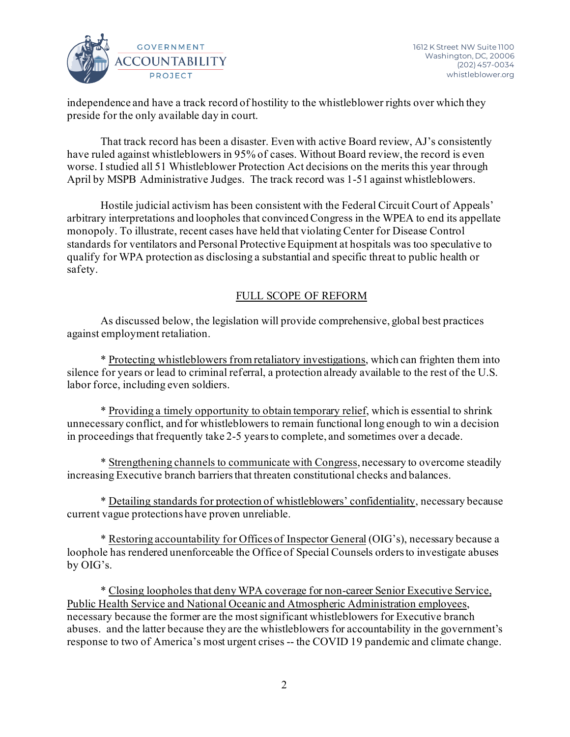

independence and have a track record of hostility to the whistleblower rights over which they preside for the only available day in court.

That track record has been a disaster. Even with active Board review, AJ's consistently have ruled against whistleblowers in 95% of cases. Without Board review, the record is even worse. I studied all 51 Whistleblower Protection Act decisions on the merits this year through April by MSPB Administrative Judges. The track record was 1-51 against whistleblowers.

Hostile judicial activism has been consistent with the Federal Circuit Court of Appeals' arbitrary interpretations and loopholes that convinced Congress in the WPEA to end its appellate monopoly. To illustrate, recent cases have held that violating Center for Disease Control standards for ventilators and Personal Protective Equipment at hospitals was too speculative to qualify for WPA protection as disclosing a substantial and specific threat to public health or safety.

# FULL SCOPE OF REFORM

As discussed below, the legislation will provide comprehensive, global best practices against employment retaliation.

\* Protecting whistleblowers from retaliatory investigations, which can frighten them into silence for years or lead to criminal referral, a protection already available to the rest of the U.S. labor force, including even soldiers.

\* Providing a timely opportunity to obtain temporary relief, which is essential to shrink unnecessary conflict, and for whistleblowers to remain functional long enough to win a decision in proceedings that frequently take 2-5 years to complete, and sometimes over a decade.

\* Strengthening channels to communicate with Congress, necessary to overcome steadily increasing Executive branch barriers that threaten constitutional checks and balances.

\* Detailing standards for protection of whistleblowers' confidentiality, necessary because current vague protections have proven unreliable.

\* Restoring accountability for Offices of Inspector General (OIG's), necessary because a loophole has rendered unenforceable the Office of Special Counsels orders to investigate abuses by OIG's.

\* Closing loopholes that deny WPA coverage for non-career Senior Executive Service, Public Health Service and National Oceanic and Atmospheric Administration employees, necessary because the former are the most significant whistleblowers for Executive branch abuses. and the latter because they are the whistleblowers for accountability in the government's response to two of America's most urgent crises -- the COVID 19 pandemic and climate change.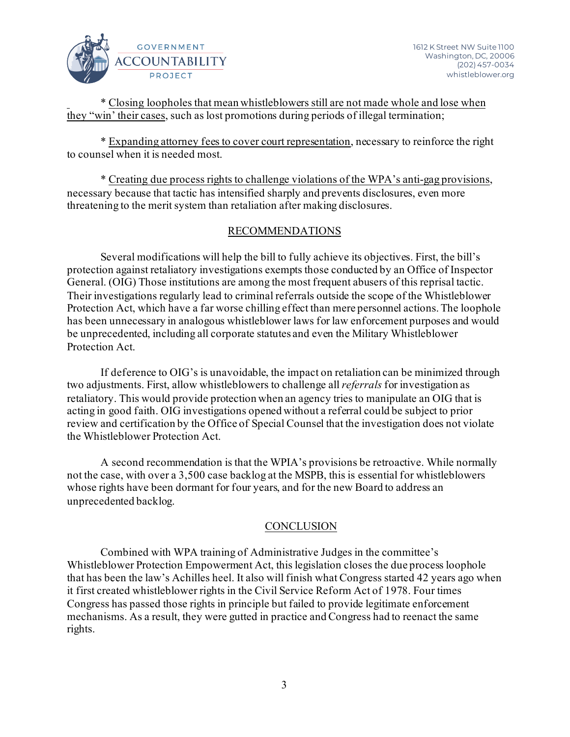

\* Closing loopholes that mean whistleblowers still are not made whole and lose when they "win' their cases, such as lost promotions during periods of illegal termination;

\* Expanding attorney fees to cover court representation, necessary to reinforce the right to counsel when it is needed most.

\* Creating due process rights to challenge violations of the WPA's anti-gag provisions, necessary because that tactic has intensified sharply and prevents disclosures, even more threatening to the merit system than retaliation after making disclosures.

# RECOMMENDATIONS

Several modifications will help the bill to fully achieve its objectives. First, the bill's protection against retaliatory investigations exempts those conducted by an Office of Inspector General. (OIG) Those institutions are among the most frequent abusers of this reprisal tactic. Their investigations regularly lead to criminal referrals outside the scope of the Whistleblower Protection Act, which have a far worse chilling effect than mere personnel actions. The loophole has been unnecessary in analogous whistleblower laws for law enforcement purposes and would be unprecedented, including all corporate statutes and even the Military Whistleblower Protection Act.

If deference to OIG's is unavoidable, the impact on retaliation can be minimized through two adjustments. First, allow whistleblowers to challenge all *referrals* for investigation as retaliatory. This would provide protection when an agency tries to manipulate an OIG that is acting in good faith. OIG investigations opened without a referral could be subject to prior review and certification by the Office of Special Counsel that the investigation does not violate the Whistleblower Protection Act.

A second recommendation is that the WPIA's provisions be retroactive. While normally not the case, with over a 3,500 case backlog at the MSPB, this is essential for whistleblowers whose rights have been dormant for four years, and for the new Board to address an unprecedented backlog.

# **CONCLUSION**

Combined with WPA training of Administrative Judges in the committee's Whistleblower Protection Empowerment Act, this legislation closes the due process loophole that has been the law's Achilles heel. It also will finish what Congress started 42 years ago when it first created whistleblower rights in the Civil Service Reform Act of 1978. Four times Congress has passed those rights in principle but failed to provide legitimate enforcement mechanisms. As a result, they were gutted in practice and Congress had to reenact the same rights.